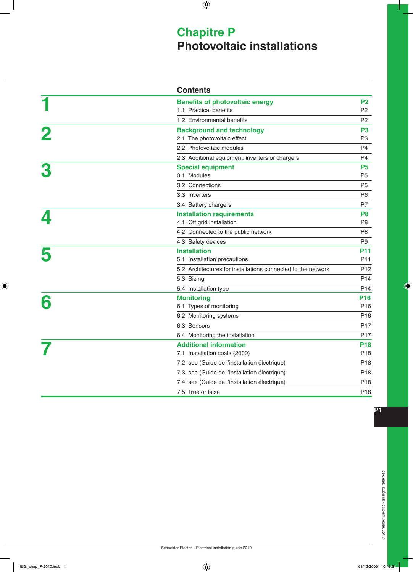# **Chapitre P Photovoltaic installations**

|                         | <b>Contents</b>                                              |                 |
|-------------------------|--------------------------------------------------------------|-----------------|
|                         | <b>Benefits of photovoltaic energy</b>                       | P <sub>2</sub>  |
|                         | 1.1 Practical benefits                                       | P <sub>2</sub>  |
|                         | 1.2 Environmental benefits                                   | P <sub>2</sub>  |
| $\overline{\mathbf{2}}$ | <b>Background and technology</b>                             | P <sub>3</sub>  |
|                         | 2.1 The photovoltaic effect                                  | P <sub>3</sub>  |
|                         | 2.2 Photovoltaic modules                                     | P <sub>4</sub>  |
|                         | 2.3 Additional equipment: inverters or chargers              | P <sub>4</sub>  |
|                         | <b>Special equipment</b>                                     | <b>P5</b>       |
|                         | 3.1 Modules                                                  | P <sub>5</sub>  |
|                         | 3.2 Connections                                              | P <sub>5</sub>  |
|                         | 3.3 Inverters                                                | P <sub>6</sub>  |
|                         | 3.4 Battery chargers                                         | P7              |
|                         | <b>Installation requirements</b>                             | P <sub>8</sub>  |
|                         | 4.1 Off grid installation                                    | P <sub>8</sub>  |
|                         | 4.2 Connected to the public network                          | P <sub>8</sub>  |
|                         | 4.3 Safety devices                                           | P <sub>9</sub>  |
|                         | <b>Installation</b>                                          | <b>P11</b>      |
|                         | 5.1 Installation precautions                                 | P <sub>11</sub> |
|                         | 5.2 Architectures for installations connected to the network | P <sub>12</sub> |
|                         | 5.3 Sizing                                                   | P14             |
|                         | 5.4 Installation type                                        | P <sub>14</sub> |
| 6                       | <b>Monitoring</b>                                            | <b>P16</b>      |
|                         | 6.1 Types of monitoring                                      | P <sub>16</sub> |
|                         | 6.2 Monitoring systems                                       | P <sub>16</sub> |
|                         | 6.3 Sensors                                                  | P <sub>17</sub> |
|                         | 6.4 Monitoring the installation                              | P <sub>17</sub> |
|                         | <b>Additional information</b>                                | <b>P18</b>      |
|                         | 7.1 Installation costs (2009)                                | P <sub>18</sub> |
|                         | 7.2 see (Guide de l'installation électrique)                 | P <sub>18</sub> |
|                         | 7.3 see (Guide de l'installation électrique)                 | P <sub>18</sub> |
|                         | 7.4 see (Guide de l'installation électrique)                 | P <sub>18</sub> |
|                         | 7.5 True or false                                            | P <sub>18</sub> |

 $\bigoplus$ 

 $\bigoplus$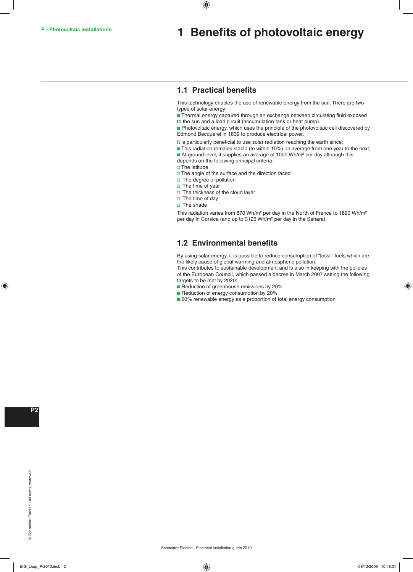## **1 Benefits of photovoltaic energy**

## **1.1 Practical benefits**

 $\bigoplus$ 

This technology enables the use of renewable energy from the sun. There are two types of solar energy:

**Thermal energy captured through an exchange between circulating fluid exposed** to the sun and a load circuit (accumulation tank or heat pump).

 $\blacksquare$  Photovoltaic energy, which uses the principle of the photovoltaic cell discovered by Edmond Becquerel in 1839 to produce electrical power.

- It is particularly beneficial to use solar radiation reaching the earth since:
- **This radiation remains stable (to within 10%) on average from one year to the next;**
- At ground level, it supplies an average of 1000 Wh/m<sup>2</sup> per day although this depends on the following principal criteria:
- $\square$  The latitude
- $\Box$  The angle of the surface and the direction faced
- $\square$  The degree of pollution
- $\square$  The time of year
- $\Box$  The thickness of the cloud layer
- $\square$  The time of day
- $\square$  The shade

This radiation varies from 870 Wh/m² per day in the North of France to 1890 Wh/m² per day in Corsica (and up to 3125 Wh/m² per day in the Sahara).

## **1.2 Environmental benefits**

By using solar energy, it is possible to reduce consumption of "fossil" fuels which are the likely cause of global warming and atmospheric pollution.

This contributes to sustainable development and is also in keeping with the policies of the European Council, which passed a decree in March 2007 setting the following targets to be met by 2020:

- Reduction of greenhouse emissions by 20%
- Reduction of energy consumption by 20%
- 20% renewable energy as a proportion of total energy consumption

 $\bigoplus$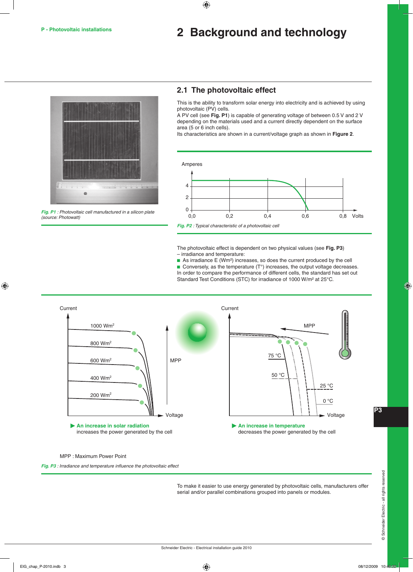# **P - Photovoltaic installations 2 Background and technology**



**Fig. P1** : Photovoltaic cell manufactured in a silicon plate (source: Photowatt)

## **2.1 The photovoltaic effect**

 $\bigoplus$ 

This is the ability to transform solar energy into electricity and is achieved by using photovoltaic (PV) cells.

A PV cell (see **Fig. P1**) is capable of generating voltage of between 0.5 V and 2 V depending on the materials used and a current directly dependent on the surface area (5 or 6 inch cells).

Its characteristics are shown in a current/voltage graph as shown in **Figure 2**.



The photovoltaic effect is dependent on two physical values (see **Fig. P3**) – irradiance and temperature:

 $\blacksquare$  As irradiance E (Wm<sup>2</sup>) increases, so does the current produced by the cell Conversely, as the temperature  $(T^{\circ})$  increases, the output voltage decreases. In order to compare the performance of different cells, the standard has set out Standard Test Conditions (STC) for irradiance of 1000 W/m<sup>2</sup> at 25°C.



MPP : Maximum Power Point

**Fig. P3** : Irradiance and temperature influence the photovoltaic effect

To make it easier to use energy generated by photovoltaic cells, manufacturers offer serial and/or parallel combinations grouped into panels or modules.

**P**

⊕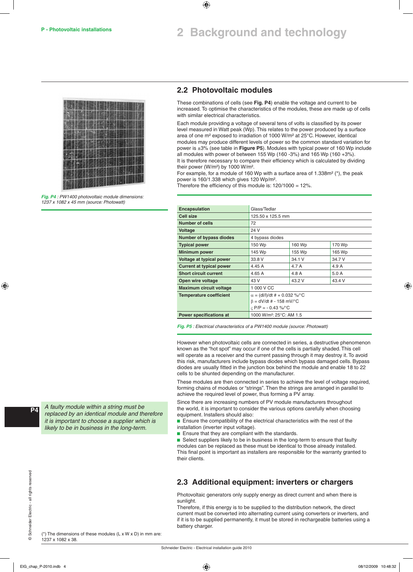# **2 Background and technology**



**Fig. P4** : PW1400 photovoltaic module dimensions: 1237 x 1082 x 45 mm (source: Photowatt)

### **2.2 Photovoltaic modules**

These combinations of cells (see **Fig. P4**) enable the voltage and current to be increased. To optimise the characteristics of the modules, these are made up of cells with similar electrical characteristics.

Each module providing a voltage of several tens of volts is classified by its power level measured in Watt peak (Wp). This relates to the power produced by a surface area of one m² exposed to irradiation of 1000 W/m² at 25°C. However, identical modules may produce different levels of power so the common standard variation for power is ±3% (see table in **Figure P5**). Modules with typical power of 160 Wp include all modules with power of between 155 Wp (160 -3%) and 165 Wp (160 +3%). It is therefore necessary to compare their efficiency which is calculated by dividing their power (W/m²) by 1000 W/m².

For example, for a module of 160 Wp with a surface area of 1.338m<sup>2</sup> (\*), the peak power is 160/1.338 which gives 120 Wp/m².

Therefore the efficiency of this module is: 120/1000 = 12%.

| <b>Encapsulation</b>            | Glass/Tedlar                         |        |        |  |  |
|---------------------------------|--------------------------------------|--------|--------|--|--|
| Cell size                       | 125.50 x 125.5 mm                    |        |        |  |  |
| Number of cells                 | 72                                   |        |        |  |  |
| <b>Voltage</b>                  | 24 V                                 |        |        |  |  |
| <b>Number of bypass diodes</b>  | 4 bypass diodes                      |        |        |  |  |
| <b>Typical power</b>            | 150 Wp                               | 160 Wp | 170 Wp |  |  |
| <b>Minimum power</b>            | 145 Wp                               | 155 Wp | 165 Wp |  |  |
| Voltage at typical power        | 33.8 V                               | 34.1 V | 34.7 V |  |  |
| <b>Current at typical power</b> | 4.45 A                               | 4.7 A  | 4.9 A  |  |  |
| <b>Short circuit current</b>    | 4.65A                                | 4.8 A  | 5.0A   |  |  |
| Open wire voltage               | 43 V                                 | 43.2 V | 43.4 V |  |  |
| <b>Maximum circuit voltage</b>  | 1 000 V CC                           |        |        |  |  |
| <b>Temperature coefficient</b>  | $\alpha = (dI/I)/dt$ # + 0.032 %/°C  |        |        |  |  |
|                                 | $\beta = dV/dt$ # - 158 mV/°C        |        |        |  |  |
|                                 | $C$ P/P = - 0.43 %/°C                |        |        |  |  |
| <b>Power specifications at</b>  | 1000 W/m <sup>2</sup> : 25°C: AM 1.5 |        |        |  |  |

**Fig. P5** : Electrical characteristics of a PW1400 module (source: Photowatt)

However when photovoltaic cells are connected in series, a destructive phenomenon known as the "hot spot" may occur if one of the cells is partially shaded. This cell will operate as a receiver and the current passing through it may destroy it. To avoid this risk, manufacturers include bypass diodes which bypass damaged cells. Bypass diodes are usually fitted in the junction box behind the module and enable 18 to 22 cells to be shunted depending on the manufacturer.

These modules are then connected in series to achieve the level of voltage required, forming chains of modules or "strings". Then the strings are arranged in parallel to achieve the required level of power, thus forming a PV array.

Since there are increasing numbers of PV module manufacturers throughout the world, it is important to consider the various options carefully when choosing equipment. Installers should also:

 $\blacksquare$  Ensure the compatibility of the electrical characteristics with the rest of the installation (inverter input voltage).

 $\blacksquare$  Ensure that they are compliant with the standards.

**B** Select suppliers likely to be in business in the long-term to ensure that faulty modules can be replaced as these must be identical to those already installed. This final point is important as installers are responsible for the warranty granted to their clients.

## **2.3 Additional equipment: inverters or chargers**

Photovoltaic generators only supply energy as direct current and when there is sunlight.

Therefore, if this energy is to be supplied to the distribution network, the direct current must be converted into alternating current using converters or inverters, and if it is to be supplied permanently, it must be stored in rechargeable batteries using a battery charger.

( $*$ ) The dimensions of these modules (L x W x D) in mm are: 1237 x 1082 x 38.

A faulty module within a string must be replaced by an identical module and therefore it is important to choose a supplier which is likely to be in business in the long-term.

 $\bigoplus$ 

Schneider Electric - Electrical installation guide 2010

⊕

**P**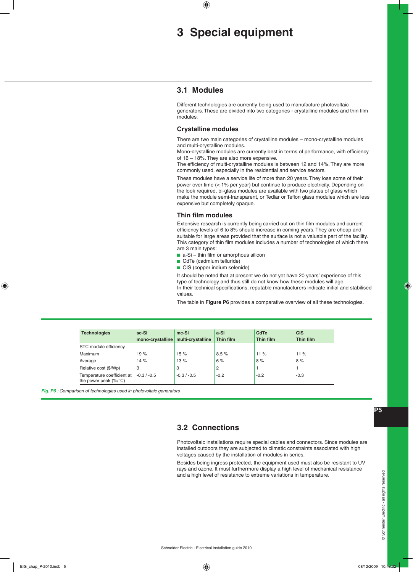# **3 Special equipment**

### **3.1 Modules**

 $\bigoplus$ 

Different technologies are currently being used to manufacture photovoltaic generators. These are divided into two categories - crystalline modules and thin film modules.

### **Crystalline modules**

There are two main categories of crystalline modules – mono-crystalline modules and multi-crystalline modules.

Mono-crystalline modules are currently best in terms of performance, with efficiency of 16 – 18%. They are also more expensive.

The efficiency of multi-crystalline modules is between 12 and 14%. They are more commonly used, especially in the residential and service sectors.

These modules have a service life of more than 20 years. They lose some of their power over time (< 1% per year) but continue to produce electricity. Depending on the look required, bi-glass modules are available with two plates of glass which make the module semi-transparent, or Tedlar or Teflon glass modules which are less expensive but completely opaque.

### **Thin film modules**

Extensive research is currently being carried out on thin film modules and current efficiency levels of 6 to 8% should increase in coming years. They are cheap and suitable for large areas provided that the surface is not a valuable part of the facility. This category of thin film modules includes a number of technologies of which there are 3 main types:

- $\blacksquare$  a-Si thin film or amorphous silicon
- CdTe (cadmium telluride)
- CIS (copper indium selenide)

It should be noted that at present we do not yet have 20 years' experience of this type of technology and thus still do not know how these modules will age. In their technical specifications, reputable manufacturers indicate initial and stabilised values.

The table in **Figure P6** provides a comparative overview of all these technologies.

| <b>Technologies</b>                                                     | sc-Si<br>mono-crystalline | mc-Si<br>multi-crystalline | a-Si<br>Thin film | <b>CdTe</b><br><b>Thin film</b> | <b>CIS</b><br>Thin film |
|-------------------------------------------------------------------------|---------------------------|----------------------------|-------------------|---------------------------------|-------------------------|
| STC module efficiency                                                   |                           |                            |                   |                                 |                         |
| Maximum                                                                 | 19%                       | 15%                        | 8.5%              | 11%                             | 11%                     |
| Average                                                                 | 14%                       | 13%                        | 6%                | 8%                              | 8%                      |
| Relative cost (\$/Wp)                                                   | 3                         | 3                          | 2                 |                                 |                         |
| Temperature coefficient at<br>the power peak $(\frac{9}{6})^{\circ}C$ ) | $-0.3 / -0.5$             | $-0.3 / -0.5$              | $-0.2$            | $-0.2$                          | $-0.3$                  |

**Fig. P6** : Comparison of technologies used in photovoltaic generators

## **3.2 Connections**

Photovoltaic installations require special cables and connectors. Since modules are installed outdoors they are subjected to climatic constraints associated with high voltages caused by the installation of modules in series.

Besides being ingress protected, the equipment used must also be resistant to UV rays and ozone. It must furthermore display a high level of mechanical resistance and a high level of resistance to extreme variations in temperature.

**P**

◈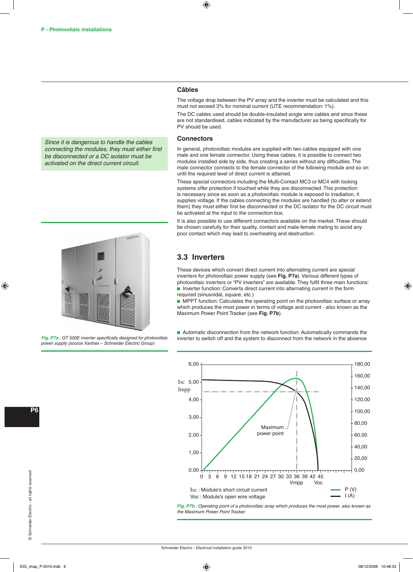Since it is dangerous to handle the cables connecting the modules, they must either first be disconnected or a DC isolator must be activated on the direct current circuit.



**Fig. P7a** : GT 500E inverter specifically designed for photovoltaic power supply (source Xantrex – Schneider Electric Group)

⊕

The voltage drop between the PV array and the inverter must be calculated and this must not exceed 3% for nominal current (UTE recommendation: 1%).

The DC cables used should be double-insulated single wire cables and since these are not standardised, cables indicated by the manufacturer as being specifically for PV should be used.

### **Connectors**

In general, photovoltaic modules are supplied with two cables equipped with one male and one female connector. Using these cables, it is possible to connect two modules installed side by side, thus creating a series without any difficulties. The male connector connects to the female connector of the following module and so on until the required level of direct current is attained.

These special connectors including the Multi-Contact MC3 or MC4 with locking systems offer protection if touched while they are disconnected. This protection is necessary since as soon as a photovoltaic module is exposed to irradiation, it supplies voltage. If the cables connecting the modules are handled (to alter or extend them) they must either first be disconnected or the DC isolator for the DC circuit must be activated at the input to the connection box.

It is also possible to use different connectors available on the market. These should be chosen carefully for their quality, contact and male-female mating to avoid any poor contact which may lead to overheating and destruction.

### **3.3 Inverters**

These devices which convert direct current into alternating current are special inverters for photovoltaic power supply (see **Fig. P7a**). Various different types of photovoltaic inverters or "PV inverters" are available. They fulfil three main functions: **n** Inverter function: Converts direct current into alternating current in the form required (sinusoidal, square, etc.)

**EXT** MPPT function: Calculates the operating point on the photovoltaic surface or array which produces the most power in terms of voltage and current - also known as the Maximum Power Point Tracker (see **Fig. P7b**).

Automatic disconnection from the network function: Automatically commands the inverter to switch off and the system to disconnect from the network in the absence



**Fig. P7b** : Operating point of a photovoltaic array which produces the most power, also known as the Maximum Power Point Tracker

**P**

⊕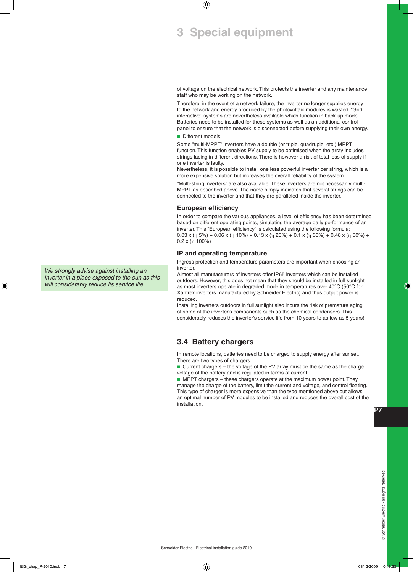# **3 Special equipment**

of voltage on the electrical network. This protects the inverter and any maintenance staff who may be working on the network.

Therefore, in the event of a network failure, the inverter no longer supplies energy to the network and energy produced by the photovoltaic modules is wasted. "Grid interactive" systems are nevertheless available which function in back-up mode. Batteries need to be installed for these systems as well as an additional control panel to ensure that the network is disconnected before supplying their own energy.

Different models

 $\bigoplus$ 

Some "multi-MPPT" inverters have a double (or triple, quadruple, etc.) MPPT function. This function enables PV supply to be optimised when the array includes strings facing in different directions. There is however a risk of total loss of supply if one inverter is faulty.

Nevertheless, it is possible to install one less powerful inverter per string, which is a more expensive solution but increases the overall reliability of the system.

"Multi-string inverters" are also available. These inverters are not necessarily multi-MPPT as described above. The name simply indicates that several strings can be connected to the inverter and that they are paralleled inside the inverter.

### **European efficiency**

In order to compare the various appliances, a level of efficiency has been determined based on different operating points, simulating the average daily performance of an inverter. This "European efficiency" is calculated using the following formula: 0.03 x (η 5%) + 0.06 x (η 10%) + 0.13 x (η 20%) + 0.1 x (η 30%) + 0.48 x (η 50%) + 0.2 x (η 100%)

### **IP and operating temperature**

Ingress protection and temperature parameters are important when choosing an inverter.

Almost all manufacturers of inverters offer IP65 inverters which can be installed outdoors. However, this does not mean that they should be installed in full sunlight as most inverters operate in degraded mode in temperatures over 40°C (50°C for Xantrex inverters manufactured by Schneider Electric) and thus output power is reduced.

Installing inverters outdoors in full sunlight also incurs the risk of premature aging of some of the inverter's components such as the chemical condensers. This considerably reduces the inverter's service life from 10 years to as few as 5 years!

## **3.4 Battery chargers**

In remote locations, batteries need to be charged to supply energy after sunset. There are two types of chargers:

■ Current chargers – the voltage of the PV array must be the same as the charge voltage of the battery and is regulated in terms of current.

 $\blacksquare$  MPPT chargers – these chargers operate at the maximum power point. They manage the charge of the battery, limit the current and voltage, and control floating. This type of charger is more expensive than the type mentioned above but allows an optimal number of PV modules to be installed and reduces the overall cost of the installation.

**P**

◈

We strongly advise against installing an inverter in a place exposed to the sun as this will considerably reduce its service life.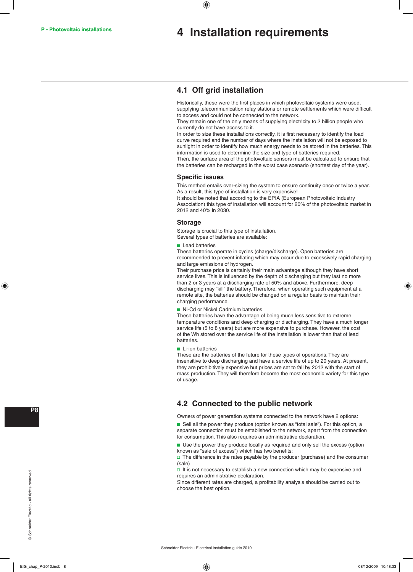#### **P - Photovoltaic installations**

## **4 Installation requirements**

## **4.1 Off grid installation**

⊕

Historically, these were the first places in which photovoltaic systems were used, supplying telecommunication relay stations or remote settlements which were difficult to access and could not be connected to the network.

They remain one of the only means of supplying electricity to 2 billion people who currently do not have access to it.

In order to size these installations correctly, it is first necessary to identify the load curve required and the number of days where the installation will not be exposed to sunlight in order to identify how much energy needs to be stored in the batteries. This information is used to determine the size and type of batteries required. Then, the surface area of the photovoltaic sensors must be calculated to ensure that the batteries can be recharged in the worst case scenario (shortest day of the year).

#### **Specific issues**

This method entails over-sizing the system to ensure continuity once or twice a year. As a result, this type of installation is very expensive!

It should be noted that according to the EPIA (European Photovoltaic Industry Association) this type of installation will account for 20% of the photovoltaic market in 2012 and 40% in 2030.

### **Storage**

Storage is crucial to this type of installation. Several types of batteries are available:

**Lead batteries** 

These batteries operate in cycles (charge/discharge). Open batteries are recommended to prevent inflating which may occur due to excessively rapid charging and large emissions of hydrogen.

Their purchase price is certainly their main advantage although they have short service lives. This is influenced by the depth of discharging but they last no more than 2 or 3 years at a discharging rate of 50% and above. Furthermore, deep discharging may "kill" the battery. Therefore, when operating such equipment at a remote site, the batteries should be changed on a regular basis to maintain their charging performance.

Ni-Cd or Nickel Cadmium batteries

These batteries have the advantage of being much less sensitive to extreme temperature conditions and deep charging or discharging. They have a much longer service life (5 to 8 years) but are more expensive to purchase. However, the cost of the Wh stored over the service life of the installation is lower than that of lead batteries.

 $\blacksquare$  Li-ion batteries

These are the batteries of the future for these types of operations. They are insensitive to deep discharging and have a service life of up to 20 years. At present, they are prohibitively expensive but prices are set to fall by 2012 with the start of mass production. They will therefore become the most economic variety for this type of usage.

## **4.2 Connected to the public network**

Owners of power generation systems connected to the network have 2 options:

 $\blacksquare$  Sell all the power they produce (option known as "total sale"). For this option, a separate connection must be established to the network, apart from the connection for consumption. This also requires an administrative declaration.

**B** Use the power they produce locally as required and only sell the excess (option known as "sale of excess") which has two benefits:

 $\square$  The difference in the rates payable by the producer (purchase) and the consumer (sale)

 $\Box$  It is not necessary to establish a new connection which may be expensive and requires an administrative declaration.

Since different rates are charged, a profitability analysis should be carried out to choose the best option.

⊕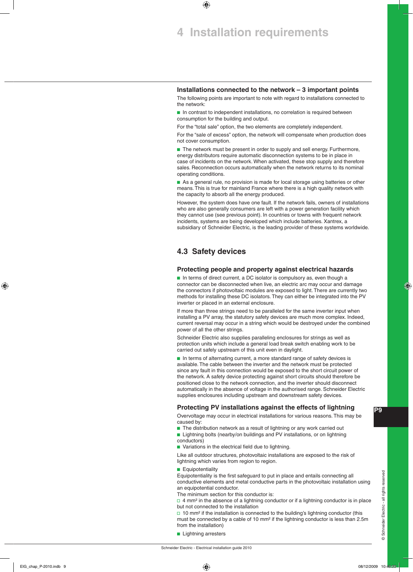# **4 Installation requirements**

 $\bigoplus$ 

### **Installations connected to the network – 3 important points**

The following points are important to note with regard to installations connected to the network:

 $\blacksquare$  In contrast to independent installations, no correlation is required between consumption for the building and output.

For the "total sale" option, the two elements are completely independent.

For the "sale of excess" option, the network will compensate when production does not cover consumption.

 $\blacksquare$  The network must be present in order to supply and sell energy. Furthermore, energy distributors require automatic disconnection systems to be in place in case of incidents on the network. When activated, these stop supply and therefore sales. Reconnection occurs automatically when the network returns to its nominal operating conditions.

As a general rule, no provision is made for local storage using batteries or other means. This is true for mainland France where there is a high quality network with the capacity to absorb all the energy produced.

However, the system does have one fault. If the network fails, owners of installations who are also generally consumers are left with a power generation facility which they cannot use (see previous point). In countries or towns with frequent network incidents, systems are being developed which include batteries. Xantrex, a subsidiary of Schneider Electric, is the leading provider of these systems worldwide.

## **4.3 Safety devices**

### **Protecting people and property against electrical hazards**

 $\blacksquare$  In terms of direct current, a DC isolator is compulsory as, even though a connector can be disconnected when live, an electric arc may occur and damage the connectors if photovoltaic modules are exposed to light. There are currently two methods for installing these DC isolators. They can either be integrated into the PV inverter or placed in an external enclosure.

If more than three strings need to be paralleled for the same inverter input when installing a PV array, the statutory safety devices are much more complex. Indeed, current reversal may occur in a string which would be destroyed under the combined power of all the other strings.

Schneider Electric also supplies paralleling enclosures for strings as well as protection units which include a general load break switch enabling work to be carried out safely upstream of this unit even in daylight.

In terms of alternating current, a more standard range of safety devices is available. The cable between the inverter and the network must be protected since any fault in this connection would be exposed to the short circuit power of the network. A safety device protecting against short circuits should therefore be positioned close to the network connection, and the inverter should disconnect automatically in the absence of voltage in the authorised range. Schneider Electric supplies enclosures including upstream and downstream safety devices.

### **Protecting PV installations against the effects of lightning**

Overvoltage may occur in electrical installations for various reasons. This may be caused by:

- The distribution network as a result of lightning or any work carried out
- **E** Lightning bolts (nearby/on buildings and PV installations, or on lightning conductors)
- Variations in the electrical field due to lightning.

Like all outdoor structures, photovoltaic installations are exposed to the risk of lightning which varies from region to region.

#### **B** Equipotentiality

Equipotentiality is the first safeguard to put in place and entails connecting all conductive elements and metal conductive parts in the photovoltaic installation using an equipotential conductor.

The minimum section for this conductor is:

 $\Box$  4 mm<sup>2</sup> in the absence of a lightning conductor or if a lightning conductor is in place but not connected to the installation

 $\Box$  10 mm<sup>2</sup> if the installation is connected to the building's lightning conductor (this must be connected by a cable of 10 mm² if the lightning conductor is less than 2.5m from the installation)

**Lightning arresters** 

Schneider Electric - Electrical installation guide 2010

**P**

◈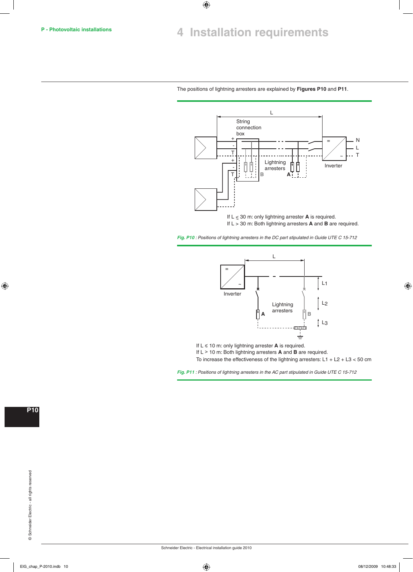$\bigoplus$ 

### The positions of lightning arresters are explained by **Figures P10** and **P11**.



If  $L \leq 30$  m: only lightning arrester **A** is required. If L > 30 m: Both lightning arresters **A** and **B** are required.

Fig. P10 : Positions of lightning arresters in the DC part stipulated in Guide UTE C 15-712



If L > 10 m: Both lightning arresters **A** and **B** are required.

To increase the effectiveness of the lightning arresters: L1 + L2 + L3 < 50 cm

Fig. P11 : Positions of lightning arresters in the AC part stipulated in Guide UTE C 15-712

**P10**

 $\bigoplus$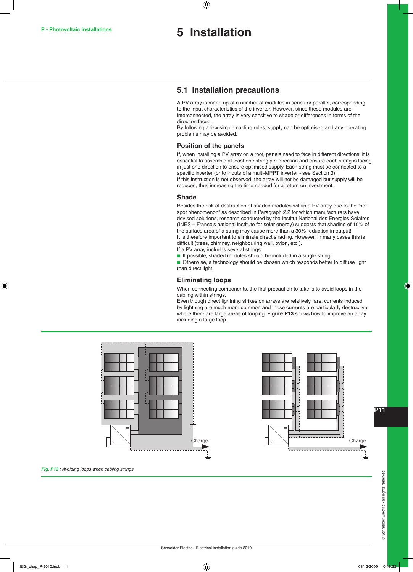## **P - Photovoltaic installations 5 Installation**

 $\bigoplus$ 

### **5.1 Installation precautions**

A PV array is made up of a number of modules in series or parallel, corresponding to the input characteristics of the inverter. However, since these modules are interconnected, the array is very sensitive to shade or differences in terms of the direction faced.

By following a few simple cabling rules, supply can be optimised and any operating problems may be avoided.

### **Position of the panels**

If, when installing a PV array on a roof, panels need to face in different directions, it is essential to assemble at least one string per direction and ensure each string is facing in just one direction to ensure optimised supply. Each string must be connected to a specific inverter (or to inputs of a multi-MPPT inverter - see Section 3). If this instruction is not observed, the array will not be damaged but supply will be reduced, thus increasing the time needed for a return on investment.

#### **Shade**

Besides the risk of destruction of shaded modules within a PV array due to the "hot spot phenomenon" as described in Paragraph 2.2 for which manufacturers have devised solutions, research conducted by the Institut National des Energies Solaires (INES – France's national institute for solar energy) suggests that shading of 10% of the surface area of a string may cause more than a 30% reduction in output! It is therefore important to eliminate direct shading. However, in many cases this is difficult (trees, chimney, neighbouring wall, pylon, etc.).

- If a PV array includes several strings:
- $\blacksquare$  If possible, shaded modules should be included in a single string

**D** Otherwise, a technology should be chosen which responds better to diffuse light than direct light

### **Eliminating loops**

When connecting components, the first precaution to take is to avoid loops in the cabling within strings.

Even though direct lightning strikes on arrays are relatively rare, currents induced by lightning are much more common and these currents are particularly destructive where there are large areas of looping. **Figure P13** shows how to improve an array including a large loop.





**P11**

⊕

**Fig. P13** : Avoiding loops when cabling strings

 $EIG_{\text{1}}$  Chap\_P-2010.indb 11 08/12/2009 10:48:33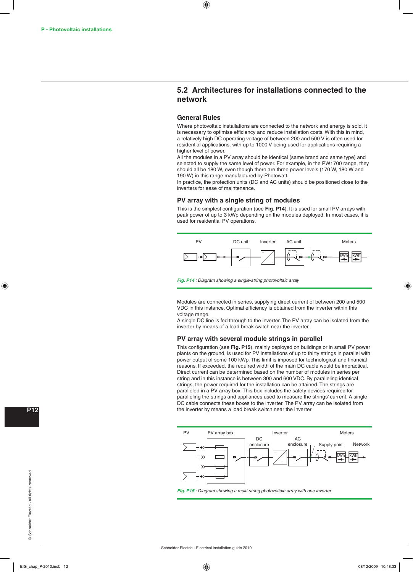## **5.2 Architectures for installations connected to the network**

### **General Rules**

 $\bigoplus$ 

Where photovoltaic installations are connected to the network and energy is sold, it is necessary to optimise efficiency and reduce installation costs. With this in mind, a relatively high DC operating voltage of between 200 and 500 V is often used for residential applications, with up to 1000 V being used for applications requiring a higher level of power.

All the modules in a PV array should be identical (same brand and same type) and selected to supply the same level of power. For example, in the PW1700 range, they should all be 180 W, even though there are three power levels (170 W, 180 W and 190 W) in this range manufactured by Photowatt.

In practice, the protection units (DC and AC units) should be positioned close to the inverters for ease of maintenance.

### **PV array with a single string of modules**

This is the simplest configuration (see **Fig. P14**). It is used for small PV arrays with peak power of up to 3 kWp depending on the modules deployed. In most cases, it is used for residential PV operations.



**Fig. P14** : Diagram showing a single-string photovoltaic array

Modules are connected in series, supplying direct current of between 200 and 500 VDC in this instance. Optimal efficiency is obtained from the inverter within this voltage range.

A single DC line is fed through to the inverter. The PV array can be isolated from the inverter by means of a load break switch near the inverter.

### **PV array with several module strings in parallel**

This configuration (see **Fig. P15**), mainly deployed on buildings or in small PV power plants on the ground, is used for PV installations of up to thirty strings in parallel with power output of some 100 kWp. This limit is imposed for technological and financial reasons. If exceeded, the required width of the main DC cable would be impractical. Direct current can be determined based on the number of modules in series per string and in this instance is between 300 and 600 VDC. By paralleling identical strings, the power required for the installation can be attained. The strings are paralleled in a PV array box. This box includes the safety devices required for paralleling the strings and appliances used to measure the strings' current. A single DC cable connects these boxes to the inverter. The PV array can be isolated from the inverter by means a load break switch near the inverter.



**Fig. P15** : Diagram showing a multi-string photovoltaic array with one inverter

⊕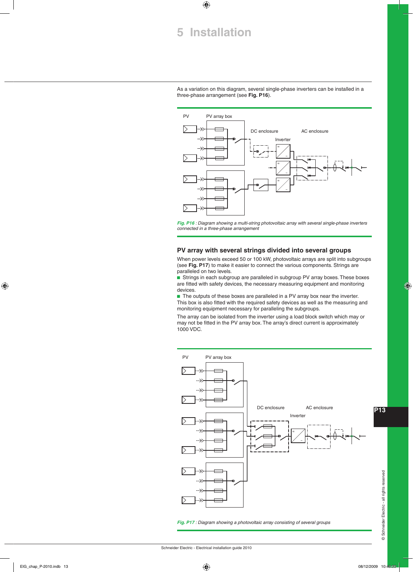## **5 Installation**

 $\bigoplus$ 

As a variation on this diagram, several single-phase inverters can be installed in a three-phase arrangement (see **Fig. P16**).



**Fig. P16** : Diagram showing a multi-string photovoltaic array with several single-phase inverters connected in a three-phase arrangement

### **PV array with several strings divided into several groups**

When power levels exceed 50 or 100 kW, photovoltaic arrays are split into subgroups (see **Fig. P17**) to make it easier to connect the various components. Strings are paralleled on two levels.

**B** Strings in each subgroup are paralleled in subgroup PV array boxes. These boxes are fitted with safety devices, the necessary measuring equipment and monitoring devices.

 $\blacksquare$  The outputs of these boxes are paralleled in a PV array box near the inverter. This box is also fitted with the required safety devices as well as the measuring and monitoring equipment necessary for paralleling the subgroups.

The array can be isolated from the inverter using a load block switch which may or may not be fitted in the PV array box. The array's direct current is approximately 1000 VDC.



⊕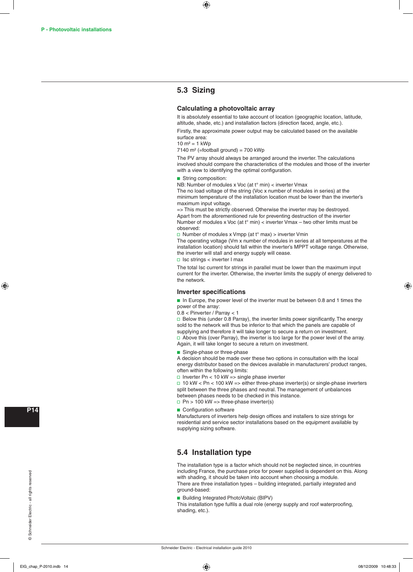## **5.3 Sizing**

### **Calculating a photovoltaic array**

It is absolutely essential to take account of location (geographic location, latitude, altitude, shade, etc.) and installation factors (direction faced, angle, etc.).

Firstly, the approximate power output may be calculated based on the available surface area:

 $10 \text{ m}^2 = 1 \text{ kWh}$ 

7140 m<sup>2</sup> (=football ground) = 700 kWp

The PV array should always be arranged around the inverter. The calculations involved should compare the characteristics of the modules and those of the inverter with a view to identifying the optimal configuration.

#### String composition:

NB: Number of modules x Voc (at t° min) < inverter Vmax

The no load voltage of the string (Voc x number of modules in series) at the minimum temperature of the installation location must be lower than the inverter's maximum input voltage.

=> This must be strictly observed. Otherwise the inverter may be destroyed. Apart from the aforementioned rule for preventing destruction of the inverter Number of modules x Voc (at t° min) < inverter Vmax – two other limits must be observed:

□ Number of modules x Vmpp (at  $t^{\circ}$  max) > inverter Vmin

The operating voltage (Vm x number of modules in series at all temperatures at the installation location) should fall within the inverter's MPPT voltage range. Otherwise, the inverter will stall and energy supply will cease.

 $\Box$  Isc strings < inverter I max

The total Isc current for strings in parallel must be lower than the maximum input current for the inverter. Otherwise, the inverter limits the supply of energy delivered to the network.

### **Inverter specifications**

**n** In Europe, the power level of the inverter must be between 0.8 and 1 times the power of the array:

0.8 < Pinverter / Parray < 1

 $\Box$  Below this (under 0.8 Parray), the inverter limits power significantly. The energy sold to the network will thus be inferior to that which the panels are capable of supplying and therefore it will take longer to secure a return on investment.  $\Box$  Above this (over Parray), the inverter is too large for the power level of the array.

Again, it will take longer to secure a return on investment.

**B** Single-phase or three-phase

A decision should be made over these two options in consultation with the local energy distributor based on the devices available in manufacturers' product ranges, often within the following limits:

 $\Box$  Inverter Pn < 10 kW => single phase inverter

 $\Box$  10 kW < Pn < 100 kW => either three-phase inverter(s) or single-phase inverters split between the three phases and neutral. The management of unbalances between phases needs to be checked in this instance.  $\Box$  Pn > 100 kW => three-phase inverter(s)

 $\blacksquare$  Configuration software

Manufacturers of inverters help design offices and installers to size strings for residential and service sector installations based on the equipment available by supplying sizing software.

## **5.4 Installation type**

The installation type is a factor which should not be neglected since, in countries including France, the purchase price for power supplied is dependent on this. Along with shading, it should be taken into account when choosing a module. There are three installation types – building integrated, partially integrated and ground-based:

**Building Integrated PhotoVoltaic (BIPV)** 

This installation type fulfils a dual role (energy supply and roof waterproofing, shading, etc.).

**P14**

⊕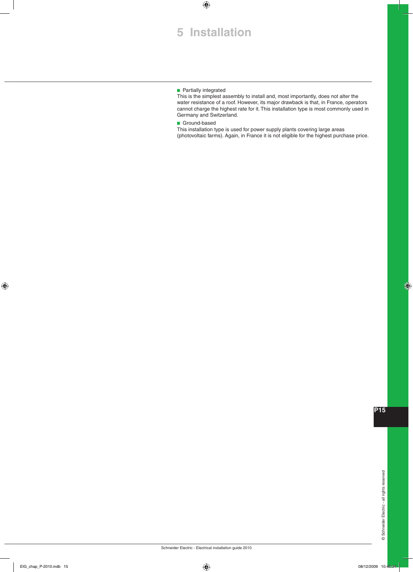# **5 Installation**

 $\bigoplus$ 

### $\blacksquare$  Partially integrated

This is the simplest assembly to install and, most importantly, does not alter the water resistance of a roof. However, its major drawback is that, in France, operators cannot charge the highest rate for it. This installation type is most commonly used in Germany and Switzerland.

**Ground-based** 

This installation type is used for power supply plants covering large areas (photovoltaic farms). Again, in France it is not eligible for the highest purchase price.

♦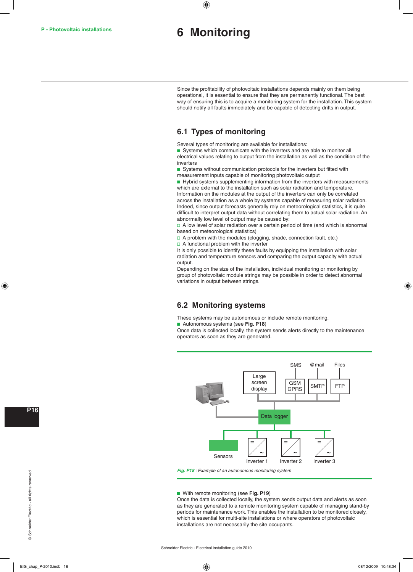## **6 Monitoring**

 $\bigoplus$ 

Since the profitability of photovoltaic installations depends mainly on them being operational, it is essential to ensure that they are permanently functional. The best way of ensuring this is to acquire a monitoring system for the installation. This system should notify all faults immediately and be capable of detecting drifts in output.

## **6.1 Types of monitoring**

Several types of monitoring are available for installations:

Systems which communicate with the inverters and are able to monitor all electrical values relating to output from the installation as well as the condition of the inverters

Systems without communication protocols for the inverters but fitted with measurement inputs capable of monitoring photovoltaic output

 $\blacksquare$  Hybrid systems supplementing information from the inverters with measurements which are external to the installation such as solar radiation and temperature. Information on the modules at the output of the inverters can only be correlated across the installation as a whole by systems capable of measuring solar radiation. Indeed, since output forecasts generally rely on meteorological statistics, it is quite difficult to interpret output data without correlating them to actual solar radiation. An abnormally low level of output may be caused by:

 $\Box$  A low level of solar radiation over a certain period of time (and which is abnormal based on meteorological statistics)

 $\Box$  A problem with the modules (clogging, shade, connection fault, etc.)

 $\Box$  A functional problem with the inverter

It is only possible to identify these faults by equipping the installation with solar radiation and temperature sensors and comparing the output capacity with actual output.

Depending on the size of the installation, individual monitoring or monitoring by group of photovoltaic module strings may be possible in order to detect abnormal variations in output between strings.

## **6.2 Monitoring systems**

These systems may be autonomous or include remote monitoring.

**B** Autonomous systems (see Fig. P18)

Once data is collected locally, the system sends alerts directly to the maintenance operators as soon as they are generated.



**Fig. P18** : Example of an autonomous monitoring system

### **b** With remote monitoring (see Fig. P19)

Once the data is collected locally, the system sends output data and alerts as soon as they are generated to a remote monitoring system capable of managing stand-by periods for maintenance work. This enables the installation to be monitored closely, which is essential for multi-site installations or where operators of photovoltaic installations are not necessarily the site occupants.

**P16**

⊕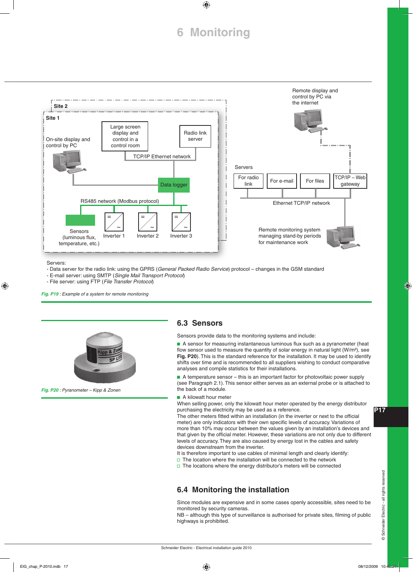# **6 Monitoring**

 $\bigoplus$ 



Servers:

 $\textcircled{\scriptsize{*}}$ 

- Data server for the radio link: using the GPRS (*General Packed Radio Service*) protocol – changes in the GSM standard

- E-mail server: using SMTP (*Single Mail Transport Protocol*)

- File server: using FTP (*File Transfer Protocol*)

**Fig. P19** : Example of a system for remote monitoring



**Fig. P20** : Pyranometer – Kipp & Zonen

## **6.3 Sensors**

Sensors provide data to the monitoring systems and include:

A sensor for measuring instantaneous luminous flux such as a pyranometer (heat flow sensor used to measure the quantity of solar energy in natural light (W/m²), see **Fig. P20**). This is the standard reference for the installation. It may be used to identify shifts over time and is recommended to all suppliers wishing to conduct comparative analyses and compile statistics for their installations.

 $\blacksquare$  A temperature sensor – this is an important factor for photovoltaic power supply (see Paragraph 2.1). This sensor either serves as an external probe or is attached to the back of a module.

 $\blacksquare$  A kilowatt hour meter

When selling power, only the kilowatt hour meter operated by the energy distributor purchasing the electricity may be used as a reference.

The other meters fitted within an installation (in the inverter or next to the official meter) are only indicators with their own specific levels of accuracy. Variations of more than 10% may occur between the values given by an installation's devices and that given by the official meter. However, these variations are not only due to different levels of accuracy. They are also caused by energy lost in the cables and safety devices downstream from the inverter.

It is therefore important to use cables of minimal length and clearly identify:

 $\square$  The location where the installation will be connected to the network

 $\Box$  The locations where the energy distributor's meters will be connected

## **6.4 Monitoring the installation**

Since modules are expensive and in some cases openly accessible, sites need to be monitored by security cameras.

NB – although this type of surveillance is authorised for private sites, filming of public highways is prohibited.

**P17**

⊕

© Schneider Electric - all rights reserved © Schneider Electric - all rights reserved